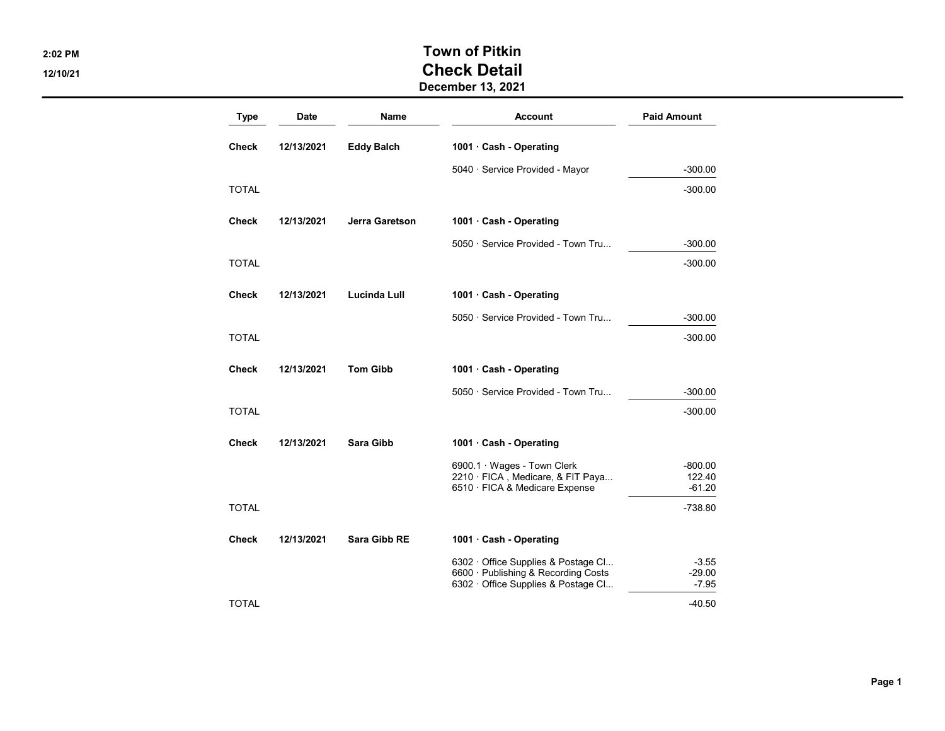## 2:02 PM 2:02 PM 12/10/21 Check Detail December 13, 2021

Type Date Name Account Paid Amount Check 12/13/2021 Eddy Balch 1001 · Cash - Operating 5040 · Service Provided - Mayor **-300.00**  $\blacksquare$  TOTAL  $\blacksquare$ Check 12/13/2021 Jerra Garetson 1001 · Cash - Operating 5050 · Service Provided - Town Tru... 4300.00  $\blacksquare$  TOTAL  $\blacksquare$ Check 12/13/2021 Lucinda Lull 1001 · Cash - Operating 5050 · Service Provided - Town Tru... 4300.00  $\blacksquare$  TOTAL  $\blacksquare$ Check 12/13/2021 Tom Gibb 1001 · Cash - Operating 5050 · Service Provided - Town Tru... - 300.00  $\blacksquare$  TOTAL  $\blacksquare$ Check 12/13/2021 Sara Gibb 1001 · Cash - Operating  $6900.1 \cdot Wages - Town Clerk$   $-800.00$  $2210 \cdot$  FICA, Medicare, & FIT Paya... 122.40 6510 · FICA & Medicare Expense **COVID-101.20**  $\blacksquare$  TOTAL  $\blacksquare$ Check 12/13/2021 Sara Gibb RE 1001 · Cash - Operating 6302 · Office Supplies & Postage Cl... 43.55 6600 · Publishing & Recording Costs -29.00<br>6302 · Office Supplies & Postage Cl... - -7.95 6302 · Office Supplies & Postage Cl...  $\blacksquare$  TOTAL  $\blacksquare$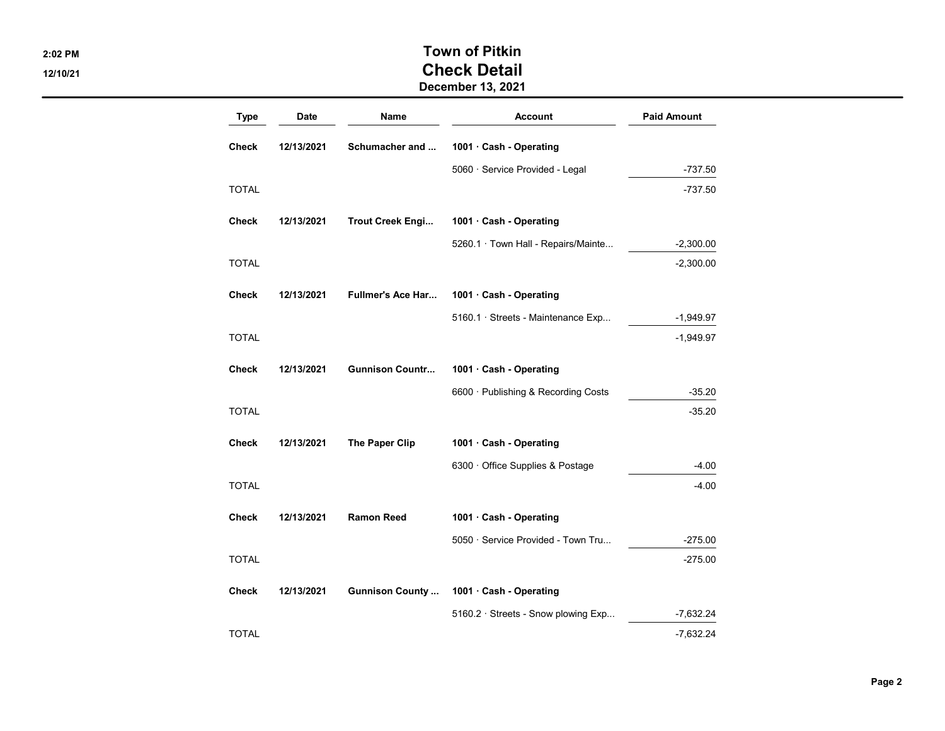## 2:02 PM Town of Pitkin 12/10/21 Check Detail December 13, 2021

| Type         | Date       | Name                     | <b>Account</b>                      | <b>Paid Amount</b> |
|--------------|------------|--------------------------|-------------------------------------|--------------------|
| Check        | 12/13/2021 | Schumacher and           | 1001 · Cash - Operating             |                    |
|              |            |                          | 5060 · Service Provided - Legal     | -737.50            |
| <b>TOTAL</b> |            |                          |                                     | -737.50            |
| <b>Check</b> | 12/13/2021 | Trout Creek Engi         | 1001 · Cash - Operating             |                    |
|              |            |                          | 5260.1 · Town Hall - Repairs/Mainte | $-2,300.00$        |
| <b>TOTAL</b> |            |                          |                                     | $-2,300.00$        |
| <b>Check</b> | 12/13/2021 | <b>Fullmer's Ace Har</b> | 1001 · Cash - Operating             |                    |
|              |            |                          | 5160.1 · Streets - Maintenance Exp  | $-1,949.97$        |
| <b>TOTAL</b> |            |                          |                                     | $-1,949.97$        |
| <b>Check</b> | 12/13/2021 | <b>Gunnison Countr</b>   | 1001 · Cash - Operating             |                    |
|              |            |                          | 6600 · Publishing & Recording Costs | $-35.20$           |
| <b>TOTAL</b> |            |                          |                                     | $-35.20$           |
| Check        | 12/13/2021 | The Paper Clip           | 1001 · Cash - Operating             |                    |
|              |            |                          | 6300 Office Supplies & Postage      | $-4.00$            |
| TOTAL        |            |                          |                                     | $-4.00$            |
| <b>Check</b> | 12/13/2021 | <b>Ramon Reed</b>        | 1001 Cash - Operating               |                    |
|              |            |                          | 5050 · Service Provided - Town Tru  | -275.00            |
| <b>TOTAL</b> |            |                          |                                     | $-275.00$          |
| <b>Check</b> | 12/13/2021 | <b>Gunnison County</b>   | 1001 · Cash - Operating             |                    |
|              |            |                          | 5160.2 · Streets - Snow plowing Exp | $-7,632.24$        |
| TOTAL        |            |                          |                                     | $-7,632.24$        |